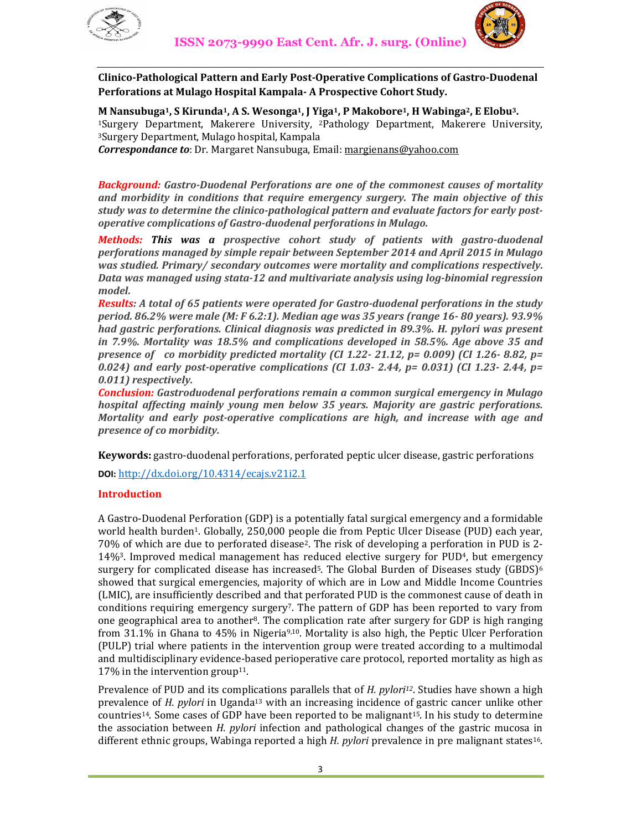



**Clinico-Pathological Pattern and Early Post-Operative Complications of Gastro-Duodenal Perforations at Mulago Hospital Kampala- A Prospective Cohort Study.** 

**M Nansubuga1, S Kirunda1, A S. Wesonga1, J Yiga1, P Makobore1, H Wabinga2, E Elobu3.** 

<sup>1</sup>Surgery Department, Makerere University, 2Pathology Department, Makerere University, <sup>3</sup>Surgery Department, Mulago hospital, Kampala

*Correspondance to*: Dr. Margaret Nansubuga, Email: margienans@yahoo.com

*Background: Gastro-Duodenal Perforations are one of the commonest causes of mortality and morbidity in conditions that require emergency surgery. The main objective of this study was to determine the clinico-pathological pattern and evaluate factors for early postoperative complications of Gastro-duodenal perforations in Mulago.* 

*Methods: This was a prospective cohort study of patients with gastro-duodenal perforations managed by simple repair between September 2014 and April 2015 in Mulago was studied. Primary/ secondary outcomes were mortality and complications respectively. Data was managed using stata-12 and multivariate analysis using log-binomial regression model.*

*Results: A total of 65 patients were operated for Gastro-duodenal perforations in the study period. 86.2% were male (M: F 6.2:1). Median age was 35 years (range 16- 80 years). 93.9% had gastric perforations. Clinical diagnosis was predicted in 89.3%. H. pylori was present in 7.9%. Mortality was 18.5% and complications developed in 58.5%. Age above 35 and presence of co morbidity predicted mortality (CI 1.22- 21.12, p= 0.009) (CI 1.26- 8.82, p= 0.024) and early post-operative complications (CI 1.03- 2.44, p= 0.031) (CI 1.23- 2.44, p= 0.011) respectively.* 

*Conclusion: Gastroduodenal perforations remain a common surgical emergency in Mulago hospital affecting mainly young men below 35 years. Majority are gastric perforations. Mortality and early post-operative complications are high, and increase with age and presence of co morbidity.* 

**Keywords:** gastro-duodenal perforations, perforated peptic ulcer disease, gastric perforations

**DOI:** http://dx.doi.org/10.4314/ecajs.v21i2.1

## **Introduction**

A Gastro-Duodenal Perforation (GDP) is a potentially fatal surgical emergency and a formidable world health burden1. Globally, 250,000 people die from Peptic Ulcer Disease (PUD) each year, 70% of which are due to perforated disease2. The risk of developing a perforation in PUD is 2- 14%3. Improved medical management has reduced elective surgery for PUD4, but emergency surgery for complicated disease has increased<sup>5</sup>. The Global Burden of Diseases study (GBDS)<sup>6</sup> showed that surgical emergencies, majority of which are in Low and Middle Income Countries (LMIC), are insufficiently described and that perforated PUD is the commonest cause of death in conditions requiring emergency surgery7. The pattern of GDP has been reported to vary from one geographical area to another<sup>8</sup>. The complication rate after surgery for GDP is high ranging from 31.1% in Ghana to 45% in Nigeria<sup>9,10</sup>. Mortality is also high, the Peptic Ulcer Perforation (PULP) trial where patients in the intervention group were treated according to a multimodal and multidisciplinary evidence-based perioperative care protocol, reported mortality as high as 17% in the intervention group<sup>11</sup>.

Prevalence of PUD and its complications parallels that of *H. pylori12*. Studies have shown a high prevalence of *H. pylori* in Uganda13 with an increasing incidence of gastric cancer unlike other countries14. Some cases of GDP have been reported to be malignant15. In his study to determine the association between *H. pylori* infection and pathological changes of the gastric mucosa in different ethnic groups, Wabinga reported a high *H. pylori* prevalence in pre malignant states16.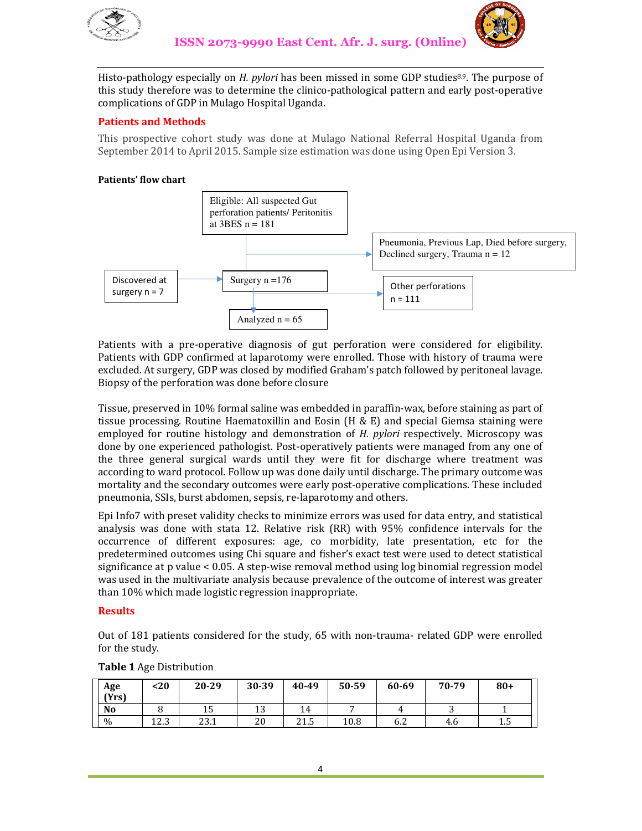



Histo-pathology especially on *H. pylori* has been missed in some GDP studies8.9. The purpose of this study therefore was to determine the clinico-pathological pattern and early post-operative complications of GDP in Mulago Hospital Uganda.

# **Patients and Methods**

This prospective cohort study was done at Mulago National Referral Hospital Uganda from September 2014 to April 2015. Sample size estimation was done using Open Epi Version 3.

## **Patients' flow chart**



Patients with a pre-operative diagnosis of gut perforation were considered for eligibility. Patients with GDP confirmed at laparotomy were enrolled. Those with history of trauma were excluded. At surgery, GDP was closed by modified Graham's patch followed by peritoneal lavage. Biopsy of the perforation was done before closure

Tissue, preserved in 10% formal saline was embedded in paraffin-wax, before staining as part of tissue processing. Routine Haematoxillin and Eosin (H & E) and special Giemsa staining were employed for routine histology and demonstration of *H. pylori* respectively. Microscopy was done by one experienced pathologist. Post-operatively patients were managed from any one of the three general surgical wards until they were fit for discharge where treatment was according to ward protocol. Follow up was done daily until discharge. The primary outcome was mortality and the secondary outcomes were early post-operative complications. These included pneumonia, SSIs, burst abdomen, sepsis, re-laparotomy and others.

Epi Info7 with preset validity checks to minimize errors was used for data entry, and statistical analysis was done with stata 12. Relative risk (RR) with 95% confidence intervals for the occurrence of different exposures: age, co morbidity, late presentation, etc for the predetermined outcomes using Chi square and fisher's exact test were used to detect statistical significance at p value < 0.05. A step-wise removal method using log binomial regression model was used in the multivariate analysis because prevalence of the outcome of interest was greater than 10% which made logistic regression inappropriate.

## **Results**

Out of 181 patients considered for the study, 65 with non-trauma- related GDP were enrolled for the study.

| Age<br>(Yrs)  | <20            | 20-29 | 30-39 | 40-49 | 50-59 | 60-69 | 70-79 | $80+$ |
|---------------|----------------|-------|-------|-------|-------|-------|-------|-------|
| <b>No</b>     |                | ⊥∪    | ⊥∪    | 14    |       |       | ີ     |       |
| $\frac{0}{0}$ | 122<br>ل میں ک | 23.1  | 20    | 21.5  | 10.8  | 6.2   | 4.6   | سد    |

#### **Table 1** Age Distribution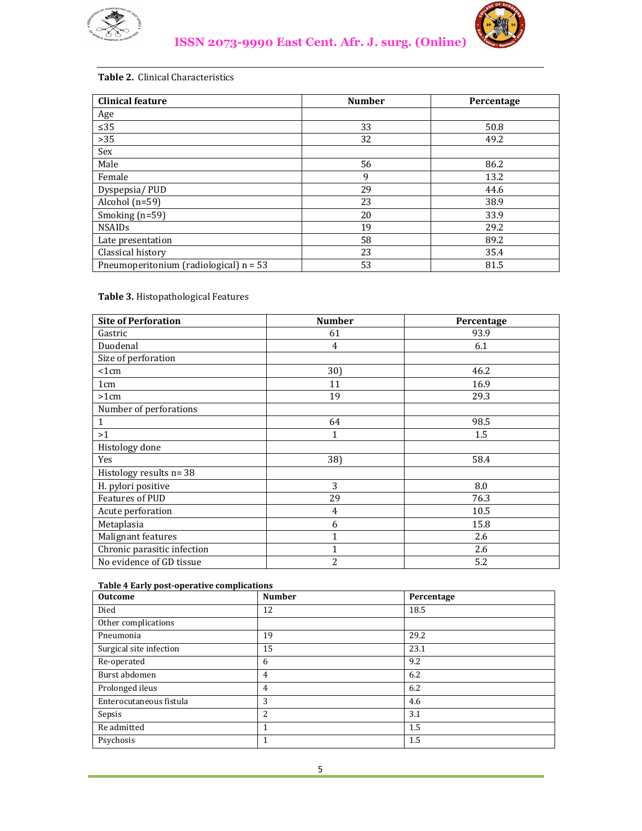



# **Table 2.** Clinical Characteristics

| <b>Clinical feature</b>                  | <b>Number</b> | Percentage |  |
|------------------------------------------|---------------|------------|--|
| Age                                      |               |            |  |
| $\leq 35$                                | 33            | 50.8       |  |
| $>35$                                    | 32            | 49.2       |  |
| Sex                                      |               |            |  |
| Male                                     | 56            | 86.2       |  |
| Female                                   | 9             | 13.2       |  |
| Dyspepsia/PUD                            | 29            | 44.6       |  |
| Alcohol (n=59)                           | 23            | 38.9       |  |
| Smoking $(n=59)$                         | 20            | 33.9       |  |
| <b>NSAIDs</b>                            | 19            | 29.2       |  |
| Late presentation                        | 58            | 89.2       |  |
| Classical history                        | 23            | 35.4       |  |
| Pneumoperitonium (radiological) $n = 53$ | 53            | 81.5       |  |

# **Table 3.** Histopathological Features

| <b>Site of Perforation</b>  | <b>Number</b> | Percentage |
|-----------------------------|---------------|------------|
| Gastric                     | 61            | 93.9       |
| Duodenal                    | 4             | 6.1        |
| Size of perforation         |               |            |
| <1cm                        | 30)           | 46.2       |
| 1 <sub>cm</sub>             | 11            | 16.9       |
| >1cm                        | 19            | 29.3       |
| Number of perforations      |               |            |
| $\mathbf{1}$                | 64            | 98.5       |
| >1                          | 1             | 1.5        |
| Histology done              |               |            |
| Yes                         | 38)           | 58.4       |
| Histology results n= 38     |               |            |
| H. pylori positive          | 3             | 8.0        |
| Features of PUD             | 29            | 76.3       |
| Acute perforation           | 4             | 10.5       |
| Metaplasia                  | 6             | 15.8       |
| Malignant features          | 1             | 2.6        |
| Chronic parasitic infection | $\mathbf{1}$  | 2.6        |
| No evidence of GD tissue    | 2             | 5.2        |

#### **Table 4 Early post-operative complications**

| <b>Outcome</b>          | <b>Number</b>  | Percentage |
|-------------------------|----------------|------------|
| Died                    | 12             | 18.5       |
| Other complications     |                |            |
| Pneumonia               | 19             | 29.2       |
| Surgical site infection | 15             | 23.1       |
| Re-operated             | 6              | 9.2        |
| Burst abdomen           | $\overline{4}$ | 6.2        |
| Prolonged ileus         | 4              | 6.2        |
| Enterocutaneous fistula | 3              | 4.6        |
| Sepsis                  | 2              | 3.1        |
| Re admitted             | 1              | 1.5        |
| Psychosis               | 1              | 1.5        |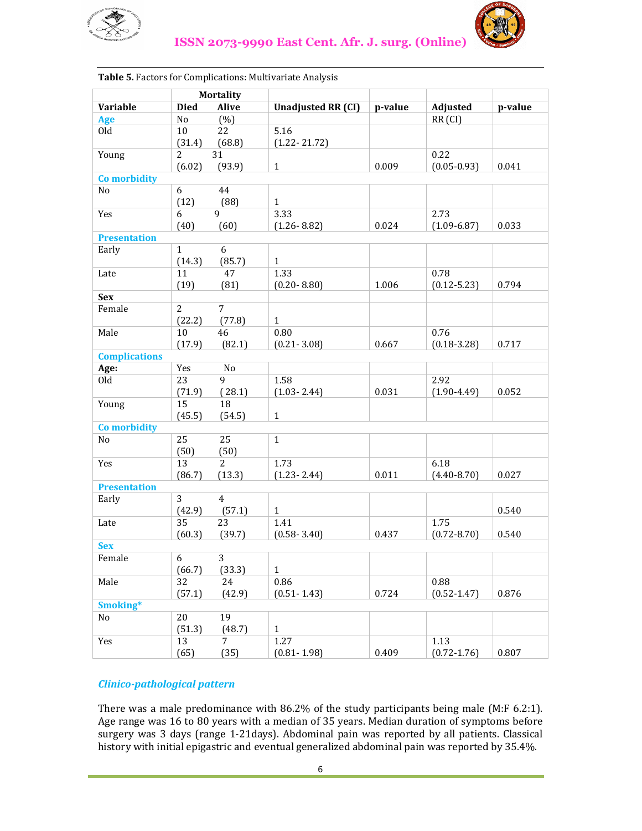



| <b>Mortality</b>     |                |                |                           |         |                    |         |
|----------------------|----------------|----------------|---------------------------|---------|--------------------|---------|
| Variable             | <b>Died</b>    | <b>Alive</b>   | <b>Unadjusted RR (CI)</b> | p-value | Adjusted           | p-value |
| <b>Age</b>           | No             | $(\%)$         |                           |         | RR <sub>(CI)</sub> |         |
| Old                  | 10             | 22             | 5.16                      |         |                    |         |
|                      | (31.4)         | (68.8)         | $(1.22 - 21.72)$          |         |                    |         |
| Young                | $\overline{2}$ | 31             |                           |         | 0.22               |         |
|                      | (6.02)         | (93.9)         | $\mathbf{1}$              | 0.009   | $(0.05 - 0.93)$    | 0.041   |
| Co morbidity         |                |                |                           |         |                    |         |
| No                   | 6              | 44             |                           |         |                    |         |
|                      | (12)           | (88)           | $\mathbf{1}$              |         |                    |         |
| Yes                  | 6              | 9              | 3.33                      |         | 2.73               |         |
|                      | (40)           | (60)           | $(1.26 - 8.82)$           | 0.024   | $(1.09 - 6.87)$    | 0.033   |
| <b>Presentation</b>  |                |                |                           |         |                    |         |
| Early                | $\mathbf{1}$   | 6              |                           |         |                    |         |
|                      | (14.3)         | (85.7)         | $\mathbf{1}$              |         |                    |         |
| Late                 | 11             | 47             | 1.33                      |         | 0.78               |         |
|                      | (19)           | (81)           | $(0.20 - 8.80)$           | 1.006   | $(0.12 - 5.23)$    | 0.794   |
| <b>Sex</b>           |                |                |                           |         |                    |         |
| Female               | $\overline{2}$ | 7              |                           |         |                    |         |
|                      | (22.2)         | (77.8)         | $\mathbf{1}$              |         |                    |         |
| Male                 | 10             | 46             | $0.80\,$                  |         | 0.76               |         |
|                      | (17.9)         | (82.1)         | $(0.21 - 3.08)$           | 0.667   | $(0.18 - 3.28)$    | 0.717   |
| <b>Complications</b> |                |                |                           |         |                    |         |
| Age:                 | Yes            | No             |                           |         |                    |         |
| Old                  | 23             | $\mathbf{q}$   | 1.58                      |         | 2.92               |         |
|                      | (71.9)         | (28.1)         | $(1.03 - 2.44)$           | 0.031   | $(1.90 - 4.49)$    | 0.052   |
| Young                | 15             | 18             |                           |         |                    |         |
|                      | (45.5)         | (54.5)         | $\mathbf{1}$              |         |                    |         |
| Co morbidity         |                |                |                           |         |                    |         |
| No                   | 25             | 25             | $\mathbf{1}$              |         |                    |         |
|                      | (50)           | (50)           |                           |         |                    |         |
| Yes                  | 13             | 2              | 1.73                      |         | 6.18               |         |
|                      | (86.7)         | (13.3)         | $(1.23 - 2.44)$           | 0.011   | $(4.40 - 8.70)$    | 0.027   |
| <b>Presentation</b>  |                |                |                           |         |                    |         |
| Early                | 3              | 4              |                           |         |                    |         |
|                      | (42.9)         | (57.1)         | $\mathbf{1}$              |         |                    | 0.540   |
| Late                 | 35             | 23             | 1.41                      |         | 1.75               |         |
|                      | (60.3)         | (39.7)         | $(0.58 - 3.40)$           | 0.437   | $(0.72 - 8.70)$    | 0.540   |
| <b>Sex</b>           |                |                |                           |         |                    |         |
| Female               | $\overline{6}$ | $\overline{3}$ |                           |         |                    |         |
|                      | (66.7)         | (33.3)         | $\mathbf{1}$              |         |                    |         |
| Male                 | 32             | 24             | 0.86                      |         | 0.88               |         |
|                      | (57.1)         | (42.9)         | $(0.51 - 1.43)$           | 0.724   | $(0.52 - 1.47)$    | 0.876   |
| Smoking*             |                |                |                           |         |                    |         |
| No                   | 20             | 19             |                           |         |                    |         |
|                      | (51.3)         | (48.7)         | $\mathbf{1}$              |         |                    |         |
| Yes                  | 13             | 7              | 1.27                      |         | 1.13               |         |
|                      | (65)           | (35)           | $(0.81 - 1.98)$           | 0.409   | $(0.72 - 1.76)$    | 0.807   |

## **Table 5.** Factors for Complications: Multivariate Analysis

## *Clinico-pathological pattern*

There was a male predominance with 86.2% of the study participants being male (M:F 6.2:1). Age range was 16 to 80 years with a median of 35 years. Median duration of symptoms before surgery was 3 days (range 1-21days). Abdominal pain was reported by all patients. Classical history with initial epigastric and eventual generalized abdominal pain was reported by 35.4%.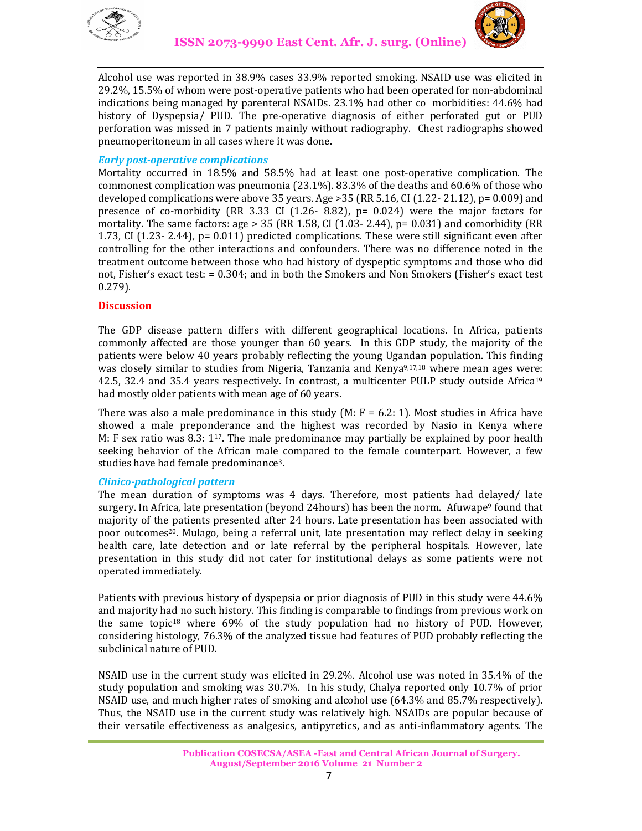



Alcohol use was reported in 38.9% cases 33.9% reported smoking. NSAID use was elicited in 29.2%, 15.5% of whom were post-operative patients who had been operated for non-abdominal indications being managed by parenteral NSAIDs. 23.1% had other co morbidities: 44.6% had history of Dyspepsia/ PUD. The pre-operative diagnosis of either perforated gut or PUD perforation was missed in 7 patients mainly without radiography. Chest radiographs showed pneumoperitoneum in all cases where it was done.

## *Early post-operative complications*

Mortality occurred in 18.5% and 58.5% had at least one post-operative complication. The commonest complication was pneumonia (23.1%). 83.3% of the deaths and 60.6% of those who developed complications were above 35 years. Age >35 (RR 5.16, CI (1.22- 21.12), p= 0.009) and presence of co-morbidity (RR 3.33 CI  $(1.26 - 8.82)$ , p= 0.024) were the major factors for mortality. The same factors: age  $> 35$  (RR 1.58, CI (1.03- 2.44), p= 0.031) and comorbidity (RR 1.73, CI (1.23- 2.44), p= 0.011) predicted complications. These were still significant even after controlling for the other interactions and confounders. There was no difference noted in the treatment outcome between those who had history of dyspeptic symptoms and those who did not, Fisher's exact test: = 0.304; and in both the Smokers and Non Smokers (Fisher's exact test 0.279).

## **Discussion**

The GDP disease pattern differs with different geographical locations. In Africa, patients commonly affected are those younger than 60 years. In this GDP study, the majority of the patients were below 40 years probably reflecting the young Ugandan population. This finding was closely similar to studies from Nigeria, Tanzania and Kenya<sup>9,17,18</sup> where mean ages were: 42.5, 32.4 and 35.4 years respectively. In contrast, a multicenter PULP study outside Africa<sup>19</sup> had mostly older patients with mean age of 60 years.

There was also a male predominance in this study  $(M; F = 6.2; 1)$ . Most studies in Africa have showed a male preponderance and the highest was recorded by Nasio in Kenya where M: F sex ratio was 8.3:  $1^{17}$ . The male predominance may partially be explained by poor health seeking behavior of the African male compared to the female counterpart. However, a few studies have had female predominance3.

## *Clinico-pathological pattern*

The mean duration of symptoms was 4 days. Therefore, most patients had delayed/ late surgery. In Africa, late presentation (beyond 24hours) has been the norm. Afuwape<sup>9</sup> found that majority of the patients presented after 24 hours. Late presentation has been associated with poor outcomes<sup>20</sup>. Mulago, being a referral unit, late presentation may reflect delay in seeking health care, late detection and or late referral by the peripheral hospitals. However, late presentation in this study did not cater for institutional delays as some patients were not operated immediately.

Patients with previous history of dyspepsia or prior diagnosis of PUD in this study were 44.6% and majority had no such history. This finding is comparable to findings from previous work on the same topic18 where 69% of the study population had no history of PUD. However, considering histology, 76.3% of the analyzed tissue had features of PUD probably reflecting the subclinical nature of PUD.

NSAID use in the current study was elicited in 29.2%. Alcohol use was noted in 35.4% of the study population and smoking was 30.7%. In his study, Chalya reported only 10.7% of prior NSAID use, and much higher rates of smoking and alcohol use (64.3% and 85.7% respectively). Thus, the NSAID use in the current study was relatively high. NSAIDs are popular because of their versatile effectiveness as analgesics, antipyretics, and as anti-inflammatory agents. The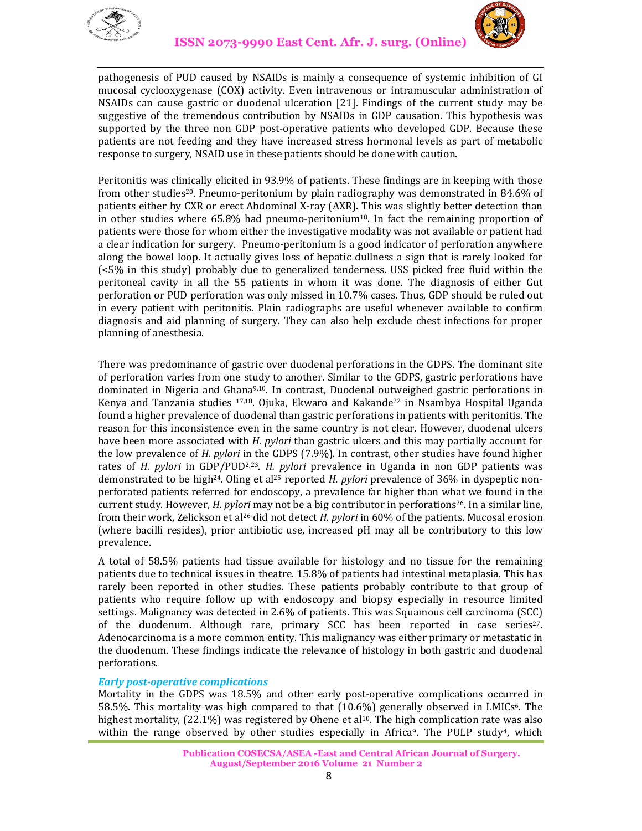



pathogenesis of PUD caused by NSAIDs is mainly a consequence of systemic inhibition of GI mucosal cyclooxygenase (COX) activity. Even intravenous or intramuscular administration of NSAIDs can cause gastric or duodenal ulceration [21]. Findings of the current study may be suggestive of the tremendous contribution by NSAIDs in GDP causation. This hypothesis was supported by the three non GDP post-operative patients who developed GDP. Because these patients are not feeding and they have increased stress hormonal levels as part of metabolic response to surgery, NSAID use in these patients should be done with caution.

Peritonitis was clinically elicited in 93.9% of patients. These findings are in keeping with those from other studies20. Pneumo-peritonium by plain radiography was demonstrated in 84.6% of patients either by CXR or erect Abdominal X-ray (AXR). This was slightly better detection than in other studies where 65.8% had pneumo-peritonium18. In fact the remaining proportion of patients were those for whom either the investigative modality was not available or patient had a clear indication for surgery. Pneumo-peritonium is a good indicator of perforation anywhere along the bowel loop. It actually gives loss of hepatic dullness a sign that is rarely looked for (<5% in this study) probably due to generalized tenderness. USS picked free fluid within the peritoneal cavity in all the 55 patients in whom it was done. The diagnosis of either Gut perforation or PUD perforation was only missed in 10.7% cases. Thus, GDP should be ruled out in every patient with peritonitis. Plain radiographs are useful whenever available to confirm diagnosis and aid planning of surgery. They can also help exclude chest infections for proper planning of anesthesia.

There was predominance of gastric over duodenal perforations in the GDPS. The dominant site of perforation varies from one study to another. Similar to the GDPS, gastric perforations have dominated in Nigeria and Ghana9,10. In contrast, Duodenal outweighed gastric perforations in Kenya and Tanzania studies  $17,18$ . Ojuka, Ekwaro and Kakande<sup>22</sup> in Nsambya Hospital Uganda found a higher prevalence of duodenal than gastric perforations in patients with peritonitis. The reason for this inconsistence even in the same country is not clear. However, duodenal ulcers have been more associated with *H. pylori* than gastric ulcers and this may partially account for the low prevalence of *H. pylori* in the GDPS (7.9%). In contrast, other studies have found higher rates of *H. pylori* in GDP/PUD2,23. *H. pylori* prevalence in Uganda in non GDP patients was demonstrated to be high24. Oling et al25 reported *H. pylori* prevalence of 36% in dyspeptic nonperforated patients referred for endoscopy, a prevalence far higher than what we found in the current study. However, *H. pylori* may not be a big contributor in perforations26. In a similar line, from their work, Zelickson et al26 did not detect *H. pylori* in 60% of the patients. Mucosal erosion (where bacilli resides), prior antibiotic use, increased pH may all be contributory to this low prevalence.

A total of 58.5% patients had tissue available for histology and no tissue for the remaining patients due to technical issues in theatre. 15.8% of patients had intestinal metaplasia. This has rarely been reported in other studies. These patients probably contribute to that group of patients who require follow up with endoscopy and biopsy especially in resource limited settings. Malignancy was detected in 2.6% of patients. This was Squamous cell carcinoma (SCC) of the duodenum. Although rare, primary SCC has been reported in case series27. Adenocarcinoma is a more common entity. This malignancy was either primary or metastatic in the duodenum. These findings indicate the relevance of histology in both gastric and duodenal perforations.

## *Early post-operative complications*

Mortality in the GDPS was 18.5% and other early post-operative complications occurred in 58.5%. This mortality was high compared to that (10.6%) generally observed in LMICs6. The highest mortality,  $(22.1\%)$  was registered by Ohene et al<sup>10</sup>. The high complication rate was also within the range observed by other studies especially in Africa<sup>9</sup>. The PULP study<sup>4</sup>, which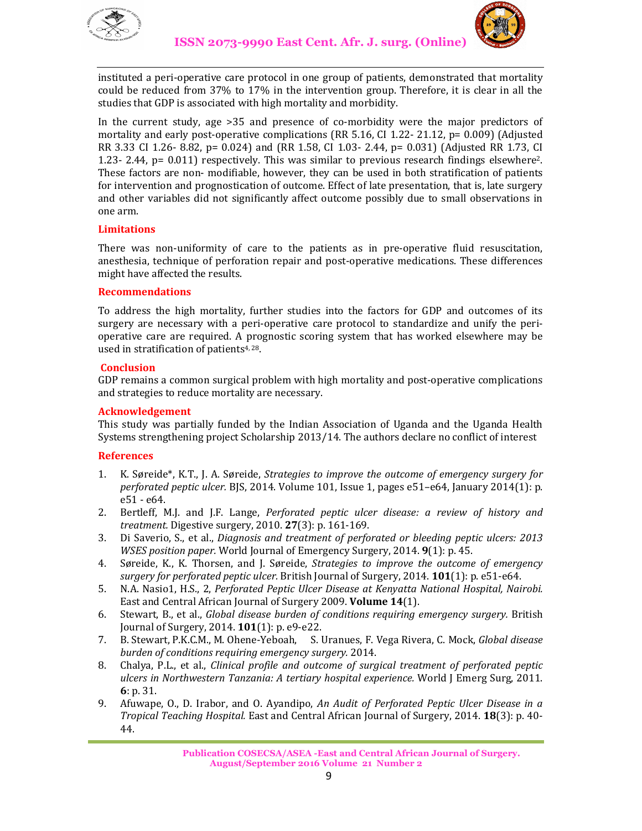



instituted a peri-operative care protocol in one group of patients, demonstrated that mortality could be reduced from 37% to 17% in the intervention group. Therefore, it is clear in all the studies that GDP is associated with high mortality and morbidity.

In the current study, age >35 and presence of co-morbidity were the major predictors of mortality and early post-operative complications (RR 5.16, CI 1.22- 21.12, p= 0.009) (Adjusted RR 3.33 CI 1.26- 8.82, p= 0.024) and (RR 1.58, CI 1.03- 2.44, p= 0.031) (Adjusted RR 1.73, CI 1.23- 2.44, p= 0.011) respectively. This was similar to previous research findings elsewhere2. These factors are non- modifiable, however, they can be used in both stratification of patients for intervention and prognostication of outcome. Effect of late presentation, that is, late surgery and other variables did not significantly affect outcome possibly due to small observations in one arm.

## **Limitations**

There was non-uniformity of care to the patients as in pre-operative fluid resuscitation, anesthesia, technique of perforation repair and post-operative medications. These differences might have affected the results.

#### **Recommendations**

To address the high mortality, further studies into the factors for GDP and outcomes of its surgery are necessary with a peri-operative care protocol to standardize and unify the perioperative care are required. A prognostic scoring system that has worked elsewhere may be used in stratification of patients<sup>4, 28</sup>.

#### **Conclusion**

GDP remains a common surgical problem with high mortality and post-operative complications and strategies to reduce mortality are necessary.

#### **Acknowledgement**

This study was partially funded by the Indian Association of Uganda and the Uganda Health Systems strengthening project Scholarship 2013/14. The authors declare no conflict of interest

## **References**

- 1. K. Søreide\*, K.T., J. A. Søreide, *Strategies to improve the outcome of emergency surgery for perforated peptic ulcer.* BJS, 2014. Volume 101, Issue 1, pages e51–e64, January 2014(1): p. e51 - e64.
- 2. Bertleff, M.J. and J.F. Lange, *Perforated peptic ulcer disease: a review of history and treatment.* Digestive surgery, 2010. **27**(3): p. 161-169.
- 3. Di Saverio, S., et al., *Diagnosis and treatment of perforated or bleeding peptic ulcers: 2013 WSES position paper.* World Journal of Emergency Surgery, 2014. **9**(1): p. 45.
- 4. Søreide, K., K. Thorsen, and J. Søreide, *Strategies to improve the outcome of emergency surgery for perforated peptic ulcer.* British Journal of Surgery, 2014. **101**(1): p. e51-e64.
- 5. N.A. Nasio1, H.S., 2, *Perforated Peptic Ulcer Disease at Kenyatta National Hospital, Nairobi.* East and Central African Journal of Surgery 2009. **Volume 14**(1).
- 6. Stewart, B., et al., *Global disease burden of conditions requiring emergency surgery.* British Journal of Surgery, 2014. **101**(1): p. e9-e22.
- 7. B. Stewart, P.K.C.M., M. Ohene-Yeboah, S. Uranues, F. Vega Rivera, C. Mock, *Global disease burden of conditions requiring emergency surgery.* 2014.
- 8. Chalya, P.L., et al., *Clinical profile and outcome of surgical treatment of perforated peptic ulcers in Northwestern Tanzania: A tertiary hospital experience.* World J Emerg Surg, 2011. **6**: p. 31.
- 9. Afuwape, O., D. Irabor, and O. Ayandipo, *An Audit of Perforated Peptic Ulcer Disease in a Tropical Teaching Hospital.* East and Central African Journal of Surgery, 2014. **18**(3): p. 40- 44.

**Publication COSECSA/ASEA -East and Central African Journal of Surgery. August/September 2016 Volume 21 Number 2**